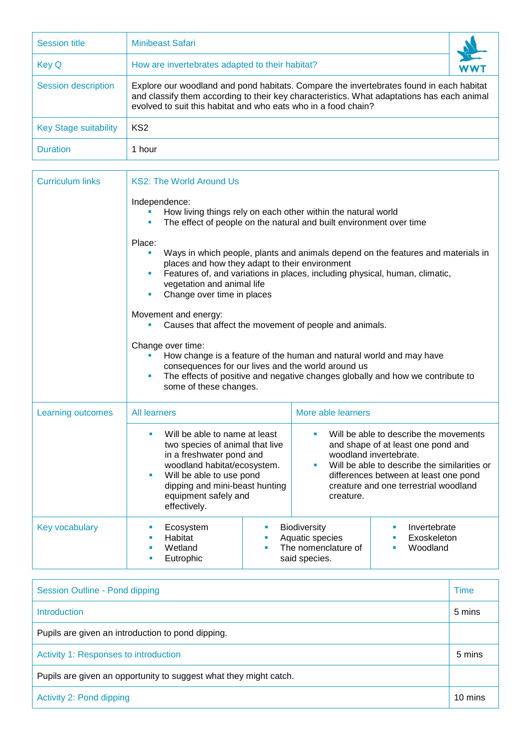| <b>Session title</b>         | Minibeast Safari                                                                                                                                                                                                                                        |  |
|------------------------------|---------------------------------------------------------------------------------------------------------------------------------------------------------------------------------------------------------------------------------------------------------|--|
| <b>Key Q</b>                 | How are invertebrates adapted to their habitat?                                                                                                                                                                                                         |  |
| Session description          | Explore our woodland and pond habitats. Compare the invertebrates found in each habitat<br>and classify them according to their key characteristics. What adaptations has each animal<br>evolved to suit this habitat and who eats who in a food chain? |  |
| <b>Key Stage suitability</b> | KS <sub>2</sub>                                                                                                                                                                                                                                         |  |
| <b>Duration</b>              | 1 hour                                                                                                                                                                                                                                                  |  |

| <b>Curriculum links</b> | <b>KS2: The World Around Us</b>                                                                                                                                                                                                                                                         |  |                                                                                                                                                                                                                                                            |  |
|-------------------------|-----------------------------------------------------------------------------------------------------------------------------------------------------------------------------------------------------------------------------------------------------------------------------------------|--|------------------------------------------------------------------------------------------------------------------------------------------------------------------------------------------------------------------------------------------------------------|--|
|                         | Independence:<br>How living things rely on each other within the natural world<br>The effect of people on the natural and built environment over time                                                                                                                                   |  |                                                                                                                                                                                                                                                            |  |
|                         | Place:<br>Ways in which people, plants and animals depend on the features and materials in<br>places and how they adapt to their environment<br>Features of, and variations in places, including physical, human, climatic,<br>vegetation and animal life<br>Change over time in places |  |                                                                                                                                                                                                                                                            |  |
|                         | Movement and energy:<br>Causes that affect the movement of people and animals.                                                                                                                                                                                                          |  |                                                                                                                                                                                                                                                            |  |
|                         | Change over time:<br>How change is a feature of the human and natural world and may have<br>consequences for our lives and the world around us<br>The effects of positive and negative changes globally and how we contribute to<br>some of these changes.                              |  |                                                                                                                                                                                                                                                            |  |
| Learning outcomes       | More able learners<br><b>All learners</b>                                                                                                                                                                                                                                               |  |                                                                                                                                                                                                                                                            |  |
|                         | Will be able to name at least<br>two species of animal that live<br>in a freshwater pond and<br>woodland habitat/ecosystem.<br>Will be able to use pond<br>dipping and mini-beast hunting<br>equipment safely and<br>effectively.                                                       |  | Will be able to describe the movements<br>ш<br>and shape of at least one pond and<br>woodland invertebrate.<br>Will be able to describe the similarities or<br>differences between at least one pond<br>creature and one terrestrial woodland<br>creature. |  |
| <b>Key vocabulary</b>   | Ecosystem<br>×<br>Habitat<br>×<br>Wetland<br>٠<br>Eutrophic<br>ш                                                                                                                                                                                                                        |  | <b>Biodiversity</b><br>Invertebrate<br>Aquatic species<br>Exoskeleton<br>The nomenclature of<br>Woodland<br>said species.                                                                                                                                  |  |

| Session Outline - Pond dipping                                    | <b>Time</b> |
|-------------------------------------------------------------------|-------------|
| <b>Introduction</b>                                               | 5 mins      |
| Pupils are given an introduction to pond dipping.                 |             |
| Activity 1: Responses to introduction                             | 5 mins      |
| Pupils are given an opportunity to suggest what they might catch. |             |
| Activity 2: Pond dipping                                          | 10 mins     |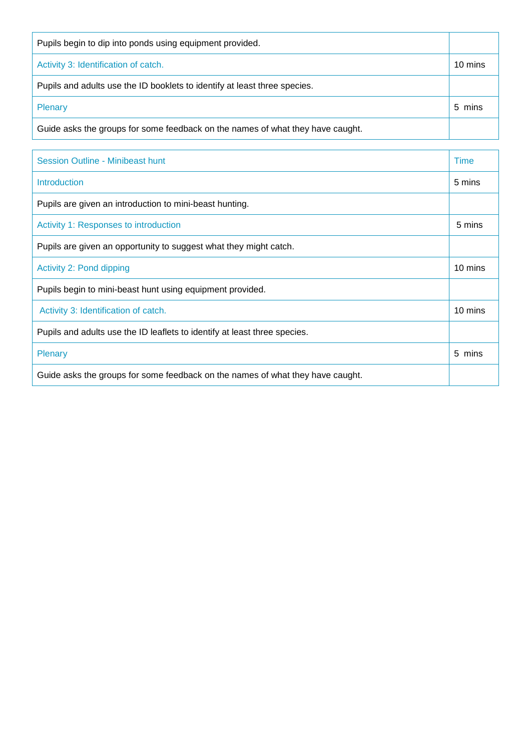| Pupils begin to dip into ponds using equipment provided.                       |         |
|--------------------------------------------------------------------------------|---------|
| Activity 3: Identification of catch.                                           | 10 mins |
| Pupils and adults use the ID booklets to identify at least three species.      |         |
| Plenary                                                                        | 5 mins  |
| Guide asks the groups for some feedback on the names of what they have caught. |         |

| Session Outline - Minibeast hunt                                               | Time    |
|--------------------------------------------------------------------------------|---------|
| Introduction                                                                   | 5 mins  |
| Pupils are given an introduction to mini-beast hunting.                        |         |
| Activity 1: Responses to introduction                                          | 5 mins  |
| Pupils are given an opportunity to suggest what they might catch.              |         |
| Activity 2: Pond dipping                                                       | 10 mins |
| Pupils begin to mini-beast hunt using equipment provided.                      |         |
| Activity 3: Identification of catch.                                           | 10 mins |
| Pupils and adults use the ID leaflets to identify at least three species.      |         |
| <b>Plenary</b>                                                                 | 5 mins  |
| Guide asks the groups for some feedback on the names of what they have caught. |         |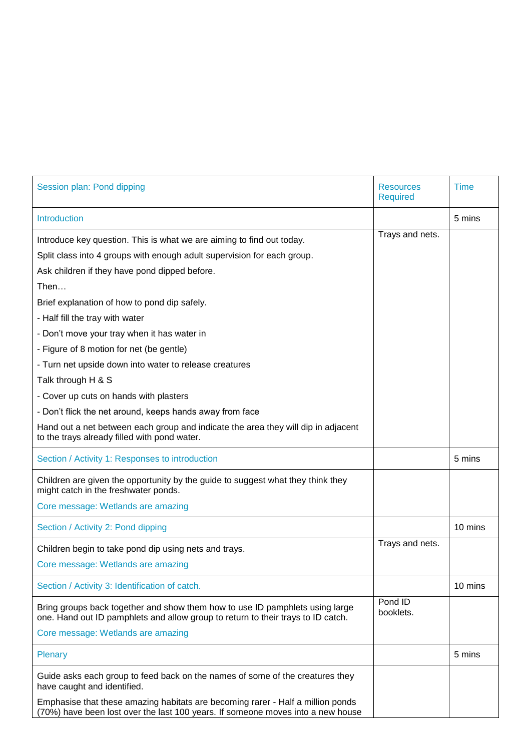| Session plan: Pond dipping                                                                                                                                         | <b>Resources</b><br><b>Required</b> | <b>Time</b> |
|--------------------------------------------------------------------------------------------------------------------------------------------------------------------|-------------------------------------|-------------|
| <b>Introduction</b>                                                                                                                                                |                                     | 5 mins      |
| Introduce key question. This is what we are aiming to find out today.                                                                                              | Trays and nets.                     |             |
| Split class into 4 groups with enough adult supervision for each group.                                                                                            |                                     |             |
| Ask children if they have pond dipped before.                                                                                                                      |                                     |             |
| Then                                                                                                                                                               |                                     |             |
| Brief explanation of how to pond dip safely.                                                                                                                       |                                     |             |
| - Half fill the tray with water                                                                                                                                    |                                     |             |
| - Don't move your tray when it has water in                                                                                                                        |                                     |             |
| - Figure of 8 motion for net (be gentle)                                                                                                                           |                                     |             |
| - Turn net upside down into water to release creatures                                                                                                             |                                     |             |
| Talk through H & S                                                                                                                                                 |                                     |             |
| - Cover up cuts on hands with plasters                                                                                                                             |                                     |             |
| - Don't flick the net around, keeps hands away from face                                                                                                           |                                     |             |
| Hand out a net between each group and indicate the area they will dip in adjacent<br>to the trays already filled with pond water.                                  |                                     |             |
| Section / Activity 1: Responses to introduction                                                                                                                    |                                     | 5 mins      |
| Children are given the opportunity by the guide to suggest what they think they<br>might catch in the freshwater ponds.                                            |                                     |             |
| Core message: Wetlands are amazing                                                                                                                                 |                                     |             |
| Section / Activity 2: Pond dipping                                                                                                                                 |                                     | 10 mins     |
| Children begin to take pond dip using nets and trays.                                                                                                              | Trays and nets.                     |             |
| Core message: Wetlands are amazing                                                                                                                                 |                                     |             |
| Section / Activity 3: Identification of catch.                                                                                                                     |                                     | 10 mins     |
| Bring groups back together and show them how to use ID pamphlets using large<br>one. Hand out ID pamphlets and allow group to return to their trays to ID catch.   | Pond ID<br>booklets.                |             |
| Core message: Wetlands are amazing                                                                                                                                 |                                     |             |
| Plenary                                                                                                                                                            |                                     | 5 mins      |
| Guide asks each group to feed back on the names of some of the creatures they<br>have caught and identified.                                                       |                                     |             |
| Emphasise that these amazing habitats are becoming rarer - Half a million ponds<br>(70%) have been lost over the last 100 years. If someone moves into a new house |                                     |             |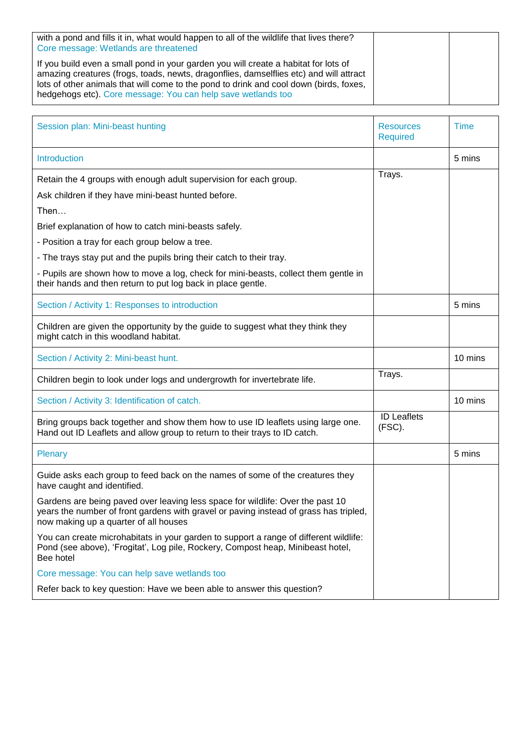| with a pond and fills it in, what would happen to all of the wildlife that lives there?<br>Core message: Wetlands are threatened                                                                                                                                                                                                        |  |
|-----------------------------------------------------------------------------------------------------------------------------------------------------------------------------------------------------------------------------------------------------------------------------------------------------------------------------------------|--|
| If you build even a small pond in your garden you will create a habitat for lots of<br>amazing creatures (frogs, toads, newts, dragonflies, damselflies etc) and will attract<br>lots of other animals that will come to the pond to drink and cool down (birds, foxes,<br>hedgehogs etc). Core message: You can help save wetlands too |  |

| Session plan: Mini-beast hunting                                                                                                                                                                                | <b>Resources</b><br><b>Required</b> | <b>Time</b> |
|-----------------------------------------------------------------------------------------------------------------------------------------------------------------------------------------------------------------|-------------------------------------|-------------|
| Introduction                                                                                                                                                                                                    |                                     | 5 mins      |
| Retain the 4 groups with enough adult supervision for each group.                                                                                                                                               | Trays.                              |             |
| Ask children if they have mini-beast hunted before.                                                                                                                                                             |                                     |             |
| Then                                                                                                                                                                                                            |                                     |             |
| Brief explanation of how to catch mini-beasts safely.                                                                                                                                                           |                                     |             |
| - Position a tray for each group below a tree.                                                                                                                                                                  |                                     |             |
| - The trays stay put and the pupils bring their catch to their tray.                                                                                                                                            |                                     |             |
| - Pupils are shown how to move a log, check for mini-beasts, collect them gentle in<br>their hands and then return to put log back in place gentle.                                                             |                                     |             |
| Section / Activity 1: Responses to introduction                                                                                                                                                                 |                                     | 5 mins      |
| Children are given the opportunity by the guide to suggest what they think they<br>might catch in this woodland habitat.                                                                                        |                                     |             |
| Section / Activity 2: Mini-beast hunt.                                                                                                                                                                          |                                     | 10 mins     |
| Children begin to look under logs and undergrowth for invertebrate life.                                                                                                                                        | Trays.                              |             |
| Section / Activity 3: Identification of catch.                                                                                                                                                                  |                                     | 10 mins     |
| Bring groups back together and show them how to use ID leaflets using large one.<br>Hand out ID Leaflets and allow group to return to their trays to ID catch.                                                  | <b>ID Leaflets</b><br>(FSC).        |             |
| <b>Plenary</b>                                                                                                                                                                                                  |                                     | 5 mins      |
| Guide asks each group to feed back on the names of some of the creatures they<br>have caught and identified.                                                                                                    |                                     |             |
| Gardens are being paved over leaving less space for wildlife: Over the past 10<br>years the number of front gardens with gravel or paving instead of grass has tripled<br>now making up a quarter of all houses |                                     |             |
| You can create microhabitats in your garden to support a range of different wildlife:<br>Pond (see above), 'Frogitat', Log pile, Rockery, Compost heap, Minibeast hotel,<br>Bee hotel                           |                                     |             |
| Core message: You can help save wetlands too                                                                                                                                                                    |                                     |             |
| Refer back to key question: Have we been able to answer this question?                                                                                                                                          |                                     |             |